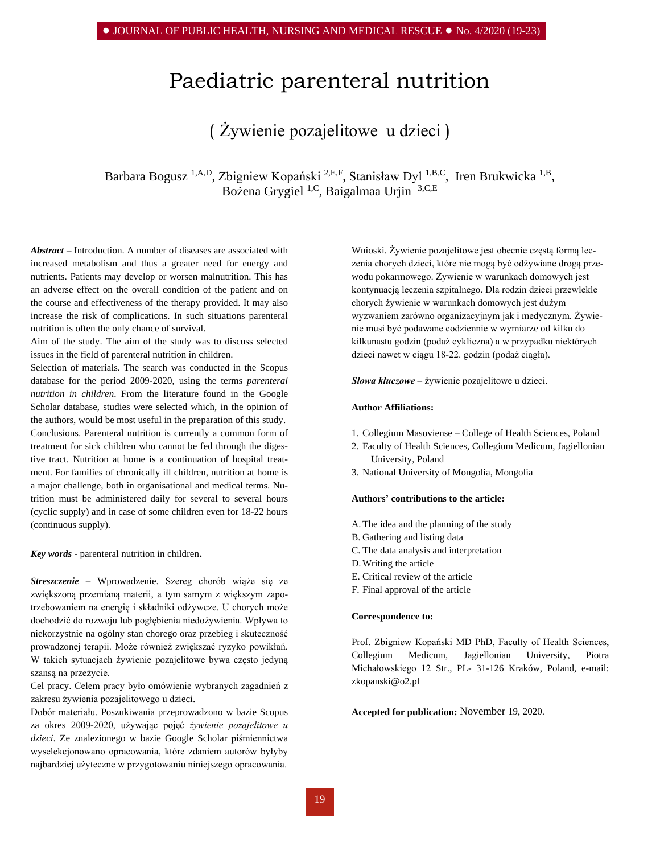# Paediatric parenteral nutrition

## ( Żywienie pozajelitowe u dzieci )

Barbara Bogusz<sup>1,A,D</sup>, Zbigniew Kopański<sup>2,E,F</sup>, Stanisław Dyl<sup>1,B,C</sup>, Iren Brukwicka<sup>1,B</sup>, Bożena Grygiel 1,C, Baigalmaa Urjin 3,C,E

*Abstract –* Introduction. A number of diseases are associated with increased metabolism and thus a greater need for energy and nutrients. Patients may develop or worsen malnutrition. This has an adverse effect on the overall condition of the patient and on the course and effectiveness of the therapy provided. It may also increase the risk of complications. In such situations parenteral nutrition is often the only chance of survival.

Aim of the study. The aim of the study was to discuss selected issues in the field of parenteral nutrition in children.

Selection of materials. The search was conducted in the Scopus database for the period 2009-2020, using the terms *parenteral nutrition in children*. From the literature found in the [Google](http://scholar.google.pl/)  [Scholar database,](http://scholar.google.pl/) studies were selected which, in the opinion of the authors, would be most useful in the preparation of this study. Conclusions. Parenteral nutrition is currently a common form of treatment for sick children who cannot be fed through the digestive tract. Nutrition at home is a continuation of hospital treatment. For families of chronically ill children, nutrition at home is a major challenge, both in organisational and medical terms. Nutrition must be administered daily for several to several hours (cyclic supply) and in case of some children even for 18-22 hours (continuous supply).

*Key words -* parenteral nutrition in children.

*Streszczenie –* Wprowadzenie. Szereg chorób wiąże się ze zwiększoną przemianą materii, a tym samym z większym zapotrzebowaniem na energię i składniki odżywcze. U chorych może dochodzić do rozwoju lub pogłębienia niedożywienia. Wpływa to niekorzystnie na ogólny stan chorego oraz przebieg i skuteczność prowadzonej terapii. Może również zwiększać ryzyko powikłań. W takich sytuacjach żywienie pozajelitowe bywa często jedyną szansą na przeżycie.

Cel pracy. Celem pracy było omówienie wybranych zagadnień z zakresu żywienia pozajelitowego u dzieci.

Dobór materiału. Poszukiwania przeprowadzono w bazie Scopus za okres 2009-2020, używając pojęć *żywienie pozajelitowe u dzieci*. Ze znalezionego w bazie [Google Scholar](http://scholar.google.pl/) piśmiennictwa wyselekcjonowano opracowania, które zdaniem autorów byłyby najbardziej użyteczne w przygotowaniu niniejszego opracowania. Wnioski. Żywienie pozajelitowe jest obecnie częstą formą leczenia chorych dzieci, które nie mogą być odżywiane drogą przewodu pokarmowego. Żywienie w warunkach domowych jest kontynuacją leczenia szpitalnego. Dla rodzin dzieci przewlekle chorych żywienie w warunkach domowych jest dużym wyzwaniem zarówno organizacyjnym jak i medycznym. Żywienie musi być podawane codziennie w wymiarze od kilku do kilkunastu godzin (podaż cykliczna) a w przypadku niektórych dzieci nawet w ciągu 18-22. godzin (podaż ciągła).

*Słowa kluczowe –* żywienie pozajelitowe u dzieci.

#### **Author Affiliations:**

- 1. Collegium Masoviense College of Health Sciences, Poland
- 2. Faculty of Health Sciences, Collegium Medicum, Jagiellonian University, Poland
- 3. National University of Mongolia, Mongolia

## **Authors' contributions to the article:**

- A.The idea and the planning of the study
- B. Gathering and listing data
- C. The data analysis and interpretation
- D.Writing the article
- E. Critical review of the article
- F. Final approval of the article

#### **Correspondence to:**

Prof. Zbigniew Kopański MD PhD, Faculty of Health Sciences, Collegium Medicum, Jagiellonian University, Piotra Michałowskiego 12 Str., PL- 31-126 Kraków, Poland, e-mail: [zkopanski@o2.pl](mailto:zkopanski@o2.pl)

**Accepted for publication:** November 19, 2020.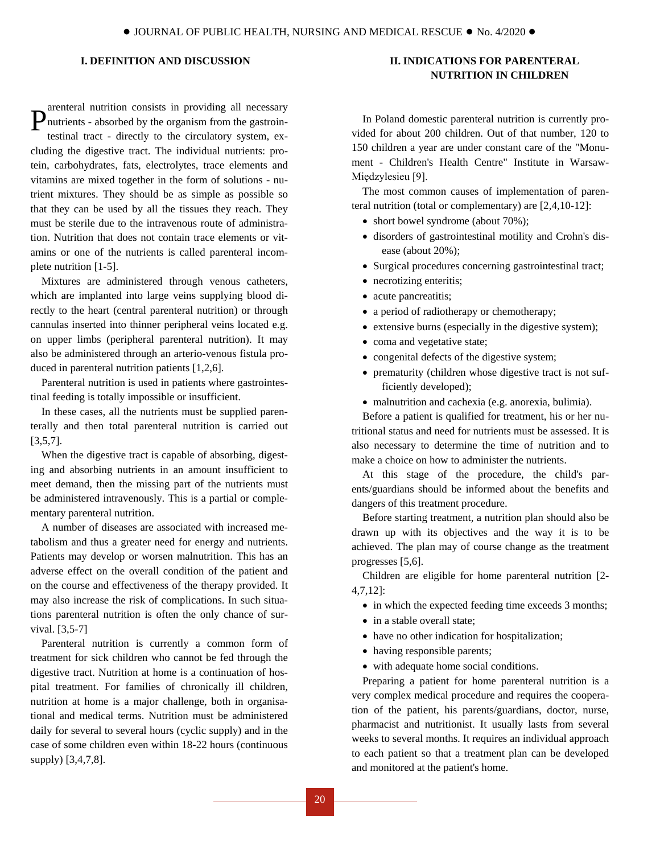## **I. DEFINITION AND DISCUSSION**

arenteral nutrition consists in providing all necessary nutrients - absorbed by the organism from the gastrointestinal tract - directly to the circulatory system, excluding the digestive tract. The individual nutrients: protein, carbohydrates, fats, electrolytes, trace elements and vitamins are mixed together in the form of solutions - nutrient mixtures. They should be as simple as possible so that they can be used by all the tissues they reach. They must be sterile due to the intravenous route of administration. Nutrition that does not contain trace elements or vitamins or one of the nutrients is called parenteral incomplete nutrition [1-5]. P

Mixtures are administered through venous catheters, which are implanted into large veins supplying blood directly to the heart (central parenteral nutrition) or through cannulas inserted into thinner peripheral veins located e.g. on upper limbs (peripheral parenteral nutrition). It may also be administered through an arterio-venous fistula produced in parenteral nutrition patients [1,2,6].

Parenteral nutrition is used in patients where gastrointestinal feeding is totally impossible or insufficient.

In these cases, all the nutrients must be supplied parenterally and then total parenteral nutrition is carried out [3,5,7].

When the digestive tract is capable of absorbing, digesting and absorbing nutrients in an amount insufficient to meet demand, then the missing part of the nutrients must be administered intravenously. This is a partial or complementary parenteral nutrition.

A number of diseases are associated with increased metabolism and thus a greater need for energy and nutrients. Patients may develop or worsen malnutrition. This has an adverse effect on the overall condition of the patient and on the course and effectiveness of the therapy provided. It may also increase the risk of complications. In such situations parenteral nutrition is often the only chance of survival. [3,5-7]

Parenteral nutrition is currently a common form of treatment for sick children who cannot be fed through the digestive tract. Nutrition at home is a continuation of hospital treatment. For families of chronically ill children, nutrition at home is a major challenge, both in organisational and medical terms. Nutrition must be administered daily for several to several hours (cyclic supply) and in the case of some children even within 18-22 hours (continuous supply) [3,4,7,8].

## **II. INDICATIONS FOR PARENTERAL NUTRITION IN CHILDREN**

In Poland domestic parenteral nutrition is currently provided for about 200 children. Out of that number, 120 to 150 children a year are under constant care of the "Monument - Children's Health Centre" Institute in Warsaw-Międzylesieu [9].

The most common causes of implementation of parenteral nutrition (total or complementary) are [2,4,10-12]:

- short bowel syndrome (about 70%);
- disorders of gastrointestinal motility and Crohn's disease (about 20%);
- Surgical procedures concerning gastrointestinal tract;
- necrotizing enteritis;
- acute pancreatitis;
- a period of radiotherapy or chemotherapy;
- extensive burns (especially in the digestive system);
- coma and vegetative state;
- congenital defects of the digestive system;
- prematurity (children whose digestive tract is not sufficiently developed);
- malnutrition and cachexia (e.g. anorexia, bulimia).

Before a patient is qualified for treatment, his or her nutritional status and need for nutrients must be assessed. It is also necessary to determine the time of nutrition and to make a choice on how to administer the nutrients.

At this stage of the procedure, the child's parents/guardians should be informed about the benefits and dangers of this treatment procedure.

Before starting treatment, a nutrition plan should also be drawn up with its objectives and the way it is to be achieved. The plan may of course change as the treatment progresses [5,6].

Children are eligible for home parenteral nutrition [2- 4,7,12]:

- in which the expected feeding time exceeds 3 months;
- in a stable overall state:
- have no other indication for hospitalization;
- having responsible parents;
- with adequate home social conditions.

Preparing a patient for home parenteral nutrition is a very complex medical procedure and requires the cooperation of the patient, his parents/guardians, doctor, nurse, pharmacist and nutritionist. It usually lasts from several weeks to several months. It requires an individual approach to each patient so that a treatment plan can be developed and monitored at the patient's home.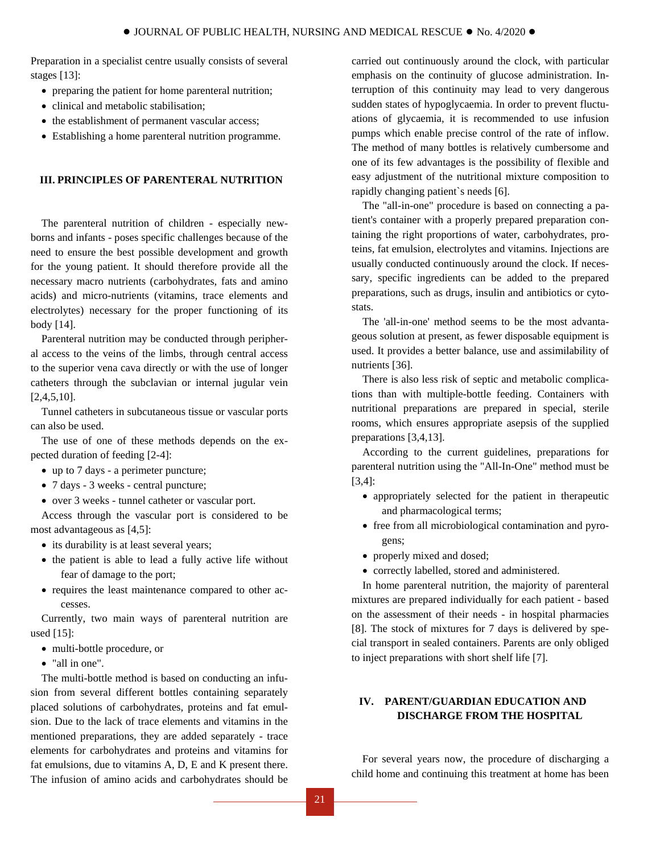Preparation in a specialist centre usually consists of several stages [13]:

- preparing the patient for home parenteral nutrition;
- clinical and metabolic stabilisation;
- the establishment of permanent vascular access;
- Establishing a home parenteral nutrition programme.

### **III. PRINCIPLES OF PARENTERAL NUTRITION**

The parenteral nutrition of children - especially newborns and infants - poses specific challenges because of the need to ensure the best possible development and growth for the young patient. It should therefore provide all the necessary macro nutrients (carbohydrates, fats and amino acids) and micro-nutrients (vitamins, trace elements and electrolytes) necessary for the proper functioning of its body [14].

Parenteral nutrition may be conducted through peripheral access to the veins of the limbs, through central access to the superior vena cava directly or with the use of longer catheters through the subclavian or internal jugular vein  $[2,4,5,10]$ .

Tunnel catheters in subcutaneous tissue or vascular ports can also be used.

The use of one of these methods depends on the expected duration of feeding [2-4]:

- up to 7 days a perimeter puncture;
- 7 days 3 weeks central puncture;
- over 3 weeks tunnel catheter or vascular port.

Access through the vascular port is considered to be most advantageous as [4,5]:

- its durability is at least several years;
- the patient is able to lead a fully active life without fear of damage to the port;
- requires the least maintenance compared to other accesses.

Currently, two main ways of parenteral nutrition are used [15]:

- multi-bottle procedure, or
- "all in one".

The multi-bottle method is based on conducting an infusion from several different bottles containing separately placed solutions of carbohydrates, proteins and fat emulsion. Due to the lack of trace elements and vitamins in the mentioned preparations, they are added separately - trace elements for carbohydrates and proteins and vitamins for fat emulsions, due to vitamins A, D, E and K present there. The infusion of amino acids and carbohydrates should be

carried out continuously around the clock, with particular emphasis on the continuity of glucose administration. Interruption of this continuity may lead to very dangerous sudden states of hypoglycaemia. In order to prevent fluctuations of glycaemia, it is recommended to use infusion pumps which enable precise control of the rate of inflow. The method of many bottles is relatively cumbersome and one of its few advantages is the possibility of flexible and easy adjustment of the nutritional mixture composition to rapidly changing patient`s needs [6].

The "all-in-one" procedure is based on connecting a patient's container with a properly prepared preparation containing the right proportions of water, carbohydrates, proteins, fat emulsion, electrolytes and vitamins. Injections are usually conducted continuously around the clock. If necessary, specific ingredients can be added to the prepared preparations, such as drugs, insulin and antibiotics or cytostats.

The 'all-in-one' method seems to be the most advantageous solution at present, as fewer disposable equipment is used. It provides a better balance, use and assimilability of nutrients [36].

There is also less risk of septic and metabolic complications than with multiple-bottle feeding. Containers with nutritional preparations are prepared in special, sterile rooms, which ensures appropriate asepsis of the supplied preparations [3,4,13].

According to the current guidelines, preparations for parenteral nutrition using the "All-In-One" method must be [3,4]:

- appropriately selected for the patient in therapeutic and pharmacological terms;
- free from all microbiological contamination and pyrogens;
- properly mixed and dosed;
- correctly labelled, stored and administered.

In home parenteral nutrition, the majority of parenteral mixtures are prepared individually for each patient - based on the assessment of their needs - in hospital pharmacies [8]. The stock of mixtures for 7 days is delivered by special transport in sealed containers. Parents are only obliged to inject preparations with short shelf life [7].

## **IV. PARENT/GUARDIAN EDUCATION AND DISCHARGE FROM THE HOSPITAL**

For several years now, the procedure of discharging a child home and continuing this treatment at home has been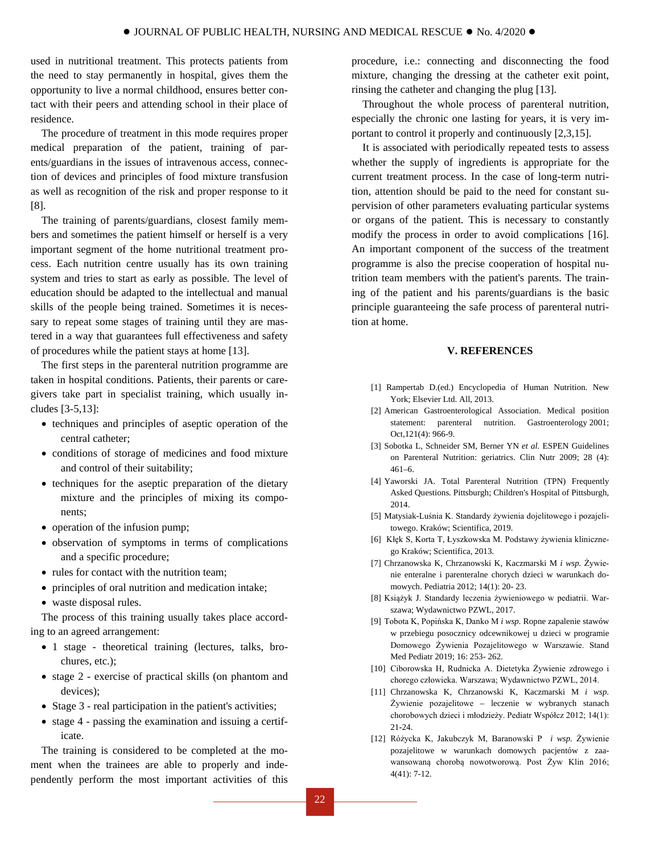used in nutritional treatment. This protects patients from the need to stay permanently in hospital, gives them the opportunity to live a normal childhood, ensures better contact with their peers and attending school in their place of residence.

The procedure of treatment in this mode requires proper medical preparation of the patient, training of parents/guardians in the issues of intravenous access, connection of devices and principles of food mixture transfusion as well as recognition of the risk and proper response to it [8].

The training of parents/guardians, closest family members and sometimes the patient himself or herself is a very important segment of the home nutritional treatment process. Each nutrition centre usually has its own training system and tries to start as early as possible. The level of education should be adapted to the intellectual and manual skills of the people being trained. Sometimes it is necessary to repeat some stages of training until they are mastered in a way that guarantees full effectiveness and safety of procedures while the patient stays at home [13].

The first steps in the parenteral nutrition programme are taken in hospital conditions. Patients, their parents or caregivers take part in specialist training, which usually includes [3-5,13]:

- techniques and principles of aseptic operation of the central catheter;
- conditions of storage of medicines and food mixture and control of their suitability;
- techniques for the aseptic preparation of the dietary mixture and the principles of mixing its components;
- operation of the infusion pump;
- observation of symptoms in terms of complications and a specific procedure;
- rules for contact with the nutrition team:
- principles of oral nutrition and medication intake;
- waste disposal rules.

The process of this training usually takes place according to an agreed arrangement:

- 1 stage theoretical training (lectures, talks, brochures, etc.);
- stage 2 exercise of practical skills (on phantom and devices);
- Stage 3 real participation in the patient's activities;
- stage 4 passing the examination and issuing a certificate.

The training is considered to be completed at the moment when the trainees are able to properly and independently perform the most important activities of this procedure, i.e.: connecting and disconnecting the food mixture, changing the dressing at the catheter exit point, rinsing the catheter and changing the plug [13].

Throughout the whole process of parenteral nutrition, especially the chronic one lasting for years, it is very important to control it properly and continuously [2,3,15].

It is associated with periodically repeated tests to assess whether the supply of ingredients is appropriate for the current treatment process. In the case of long-term nutrition, attention should be paid to the need for constant supervision of other parameters evaluating particular systems or organs of the patient. This is necessary to constantly modify the process in order to avoid complications [16]. An important component of the success of the treatment programme is also the precise cooperation of hospital nutrition team members with the patient's parents. The training of the patient and his parents/guardians is the basic principle guaranteeing the safe process of parenteral nutrition at home.

#### **V. REFERENCES**

- [1] Rampertab D.(ed.) [Encyclopedia of Human Nutrition.](https://www.sciencedirect.com/referencework/9780123848857/encyclopedia-of-human-nutrition) New York; Elsevier Ltd. All, 2013.
- [2] American Gastroenterological Association. Medical position statement: parenteral nutrition. Gastroenterology 2001; Oct,121(4): 966-9.
- [3] Sobotka L, Schneider SM, Berner YN *et al.* ESPEN Guidelines on Parenteral Nutrition: geriatrics. Clin Nutr 2009; 28 (4): 461–6.
- [4] Yaworski JA. [Total Parenteral Nutrition \(TPN\) Frequently](http://www.chp.edu/CHP/faq+about+tpn+intestine)  [Asked Questions](http://www.chp.edu/CHP/faq+about+tpn+intestine)*.* Pittsburgh; Children's Hospital of Pittsburgh, 2014.
- [5] Matysiak-Luśnia K. Standardy żywienia dojelitowego i pozajelitowego. Kraków; Scientifica, 2019.
- [6] Kłęk S, Korta T, Łyszkowska M. Podstawy żywienia klinicznego Kraków; Scientifica, 2013.
- [7] Chrzanowska K, Chrzanowski K, Kaczmarski M *i wsp.* Żywienie enteralne i parenteralne chorych dzieci w warunkach domowych. Pediatria 2012; 14(1): 20- 23.
- [8] Książyk J. Standardy leczenia żywieniowego w pediatrii. Warszawa; Wydawnictwo PZWL, 2017.
- [9] Tobota K, Popińska K, Danko M *i wsp.* Ropne zapalenie stawów w przebiegu posocznicy odcewnikowej u dzieci w programie Domowego Żywienia Pozajelitowego w Warszawie. Stand Med Pediatr 2019; 16: 253- 262.
- [10] Ciborowska H, Rudnicka A. Dietetyka Żywienie zdrowego i chorego człowieka. Warszawa; Wydawnictwo PZWL, 2014.
- [11] Chrzanowska K, Chrzanowski K, Kaczmarski M *i wsp.* Żywienie pozajelitowe – leczenie w wybranych stanach chorobowych dzieci i młodzieży. Pediatr Współcz 2012; 14(1): 21-24.
- [12] Różycka K, Jakubczyk M, Baranowski P *i wsp.* Żywienie pozajelitowe w warunkach domowych pacjentów z zaawansowaną chorobą nowotworową. Post Żyw Klin 2016; 4(41): 7-12.